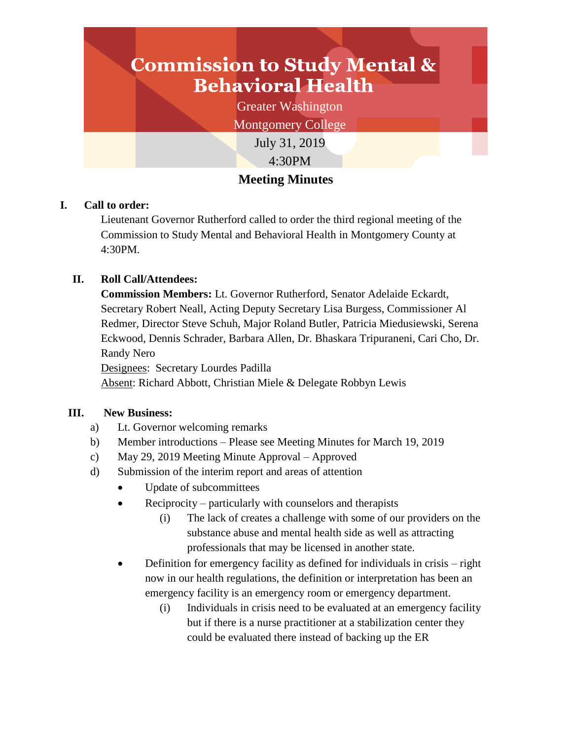# **Commission to Study Mental & Behavioral Health**

Greater Washington

Montgomery College

July 31, 2019 4:30PM

# **Meeting Minutes**

# **I. Call to order:**

Lieutenant Governor Rutherford called to order the third regional meeting of the Commission to Study Mental and Behavioral Health in Montgomery County at 4:30PM.

# **II. Roll Call/Attendees:**

**Commission Members:** Lt. Governor Rutherford, Senator Adelaide Eckardt, Secretary Robert Neall, Acting Deputy Secretary Lisa Burgess, Commissioner Al Redmer, Director Steve Schuh, Major Roland Butler, Patricia Miedusiewski, Serena Eckwood, Dennis Schrader, Barbara Allen, Dr. Bhaskara Tripuraneni, Cari Cho, Dr. Randy Nero

Designees: Secretary Lourdes Padilla

Absent: Richard Abbott, Christian Miele & Delegate Robbyn Lewis

## **III. New Business:**

- a) Lt. Governor welcoming remarks
- b) Member introductions Please see Meeting Minutes for March 19, 2019
- c) May 29, 2019 Meeting Minute Approval Approved
- d) Submission of the interim report and areas of attention
	- Update of subcommittees
	- Reciprocity particularly with counselors and therapists
		- (i) The lack of creates a challenge with some of our providers on the substance abuse and mental health side as well as attracting professionals that may be licensed in another state.
	- Definition for emergency facility as defined for individuals in crisis right now in our health regulations, the definition or interpretation has been an emergency facility is an emergency room or emergency department.
		- (i) Individuals in crisis need to be evaluated at an emergency facility but if there is a nurse practitioner at a stabilization center they could be evaluated there instead of backing up the ER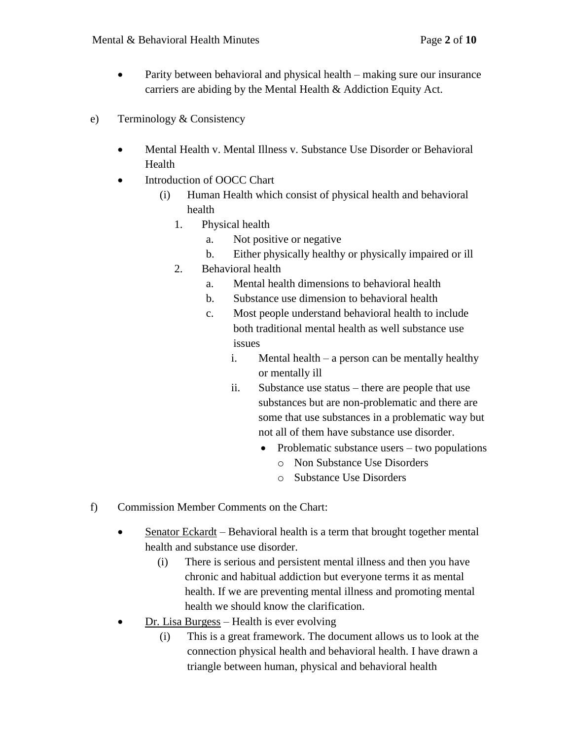- Parity between behavioral and physical health making sure our insurance carriers are abiding by the Mental Health & Addiction Equity Act.
- e) Terminology & Consistency
	- Mental Health v. Mental Illness v. Substance Use Disorder or Behavioral Health
	- Introduction of OOCC Chart
		- (i) Human Health which consist of physical health and behavioral health
			- 1. Physical health
				- a. Not positive or negative
				- b. Either physically healthy or physically impaired or ill
			- 2. Behavioral health
				- a. Mental health dimensions to behavioral health
				- b. Substance use dimension to behavioral health
				- c. Most people understand behavioral health to include both traditional mental health as well substance use issues
					- i. Mental health a person can be mentally healthy or mentally ill
					- ii. Substance use status there are people that use substances but are non-problematic and there are some that use substances in a problematic way but not all of them have substance use disorder.
						- Problematic substance users two populations
							- o Non Substance Use Disorders
							- o Substance Use Disorders
- f) Commission Member Comments on the Chart:
	- Senator Eckardt Behavioral health is a term that brought together mental health and substance use disorder.
		- (i) There is serious and persistent mental illness and then you have chronic and habitual addiction but everyone terms it as mental health. If we are preventing mental illness and promoting mental health we should know the clarification.
	- Dr. Lisa Burgess Health is ever evolving
		- (i) This is a great framework. The document allows us to look at the connection physical health and behavioral health. I have drawn a triangle between human, physical and behavioral health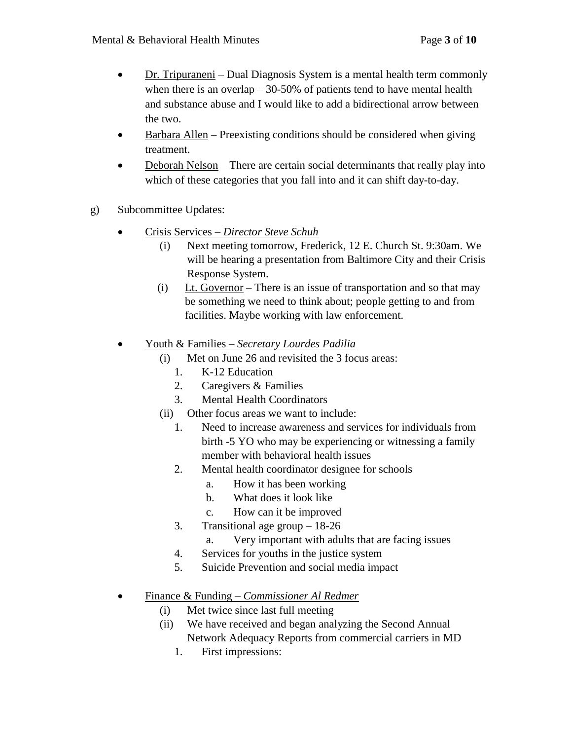- $\bullet$  Dr. Tripuraneni Dual Diagnosis System is a mental health term commonly when there is an overlap  $-30-50\%$  of patients tend to have mental health and substance abuse and I would like to add a bidirectional arrow between the two.
- Barbara Allen Preexisting conditions should be considered when giving treatment.
- Deborah Nelson There are certain social determinants that really play into which of these categories that you fall into and it can shift day-to-day.
- g) Subcommittee Updates:
	- Crisis Services *Director Steve Schuh*
		- (i) Next meeting tomorrow, Frederick, 12 E. Church St. 9:30am. We will be hearing a presentation from Baltimore City and their Crisis Response System.
		- (i) Lt. Governor There is an issue of transportation and so that may be something we need to think about; people getting to and from facilities. Maybe working with law enforcement.
	- Youth & Families *Secretary Lourdes Padilia*
		- (i) Met on June 26 and revisited the 3 focus areas:
			- 1. K-12 Education
			- 2. Caregivers & Families
			- 3. Mental Health Coordinators
		- (ii) Other focus areas we want to include:
			- 1. Need to increase awareness and services for individuals from birth -5 YO who may be experiencing or witnessing a family member with behavioral health issues
			- 2. Mental health coordinator designee for schools
				- a. How it has been working
				- b. What does it look like
				- c. How can it be improved
			- 3. Transitional age group 18-26
				- a. Very important with adults that are facing issues
			- 4. Services for youths in the justice system
			- 5. Suicide Prevention and social media impact
	- Finance & Funding *Commissioner Al Redmer*
		- (i) Met twice since last full meeting
		- (ii) We have received and began analyzing the Second Annual Network Adequacy Reports from commercial carriers in MD
			- 1. First impressions: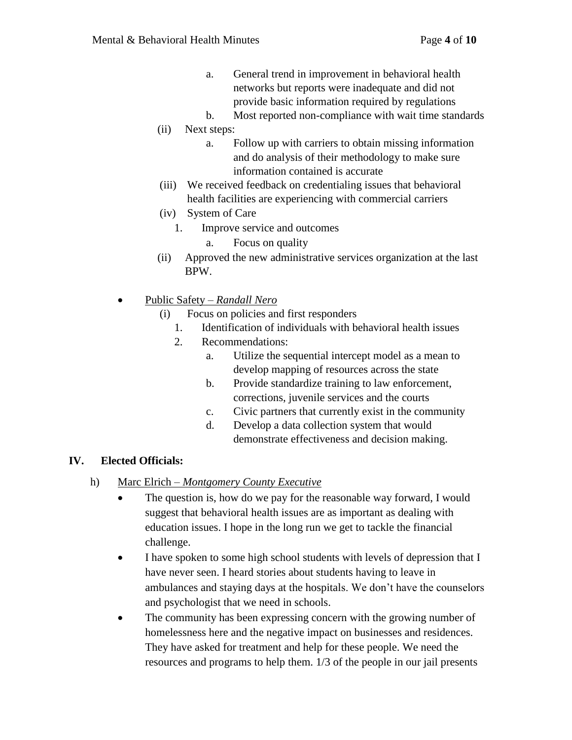- a. General trend in improvement in behavioral health networks but reports were inadequate and did not provide basic information required by regulations
- b. Most reported non-compliance with wait time standards
- (ii) Next steps:
	- a. Follow up with carriers to obtain missing information and do analysis of their methodology to make sure information contained is accurate
- (iii) We received feedback on credentialing issues that behavioral health facilities are experiencing with commercial carriers
- (iv) System of Care
	- 1. Improve service and outcomes
		- a. Focus on quality
- (ii) Approved the new administrative services organization at the last BPW.
- Public Safety *Randall Nero*
	- (i) Focus on policies and first responders
		- 1. Identification of individuals with behavioral health issues
		- 2. Recommendations:
			- a. Utilize the sequential intercept model as a mean to develop mapping of resources across the state
			- b. Provide standardize training to law enforcement, corrections, juvenile services and the courts
			- c. Civic partners that currently exist in the community
			- d. Develop a data collection system that would demonstrate effectiveness and decision making.

#### **IV. Elected Officials:**

- h) Marc Elrich *Montgomery County Executive*
	- The question is, how do we pay for the reasonable way forward, I would suggest that behavioral health issues are as important as dealing with education issues. I hope in the long run we get to tackle the financial challenge.
	- I have spoken to some high school students with levels of depression that I have never seen. I heard stories about students having to leave in ambulances and staying days at the hospitals. We don't have the counselors and psychologist that we need in schools.
	- The community has been expressing concern with the growing number of homelessness here and the negative impact on businesses and residences. They have asked for treatment and help for these people. We need the resources and programs to help them. 1/3 of the people in our jail presents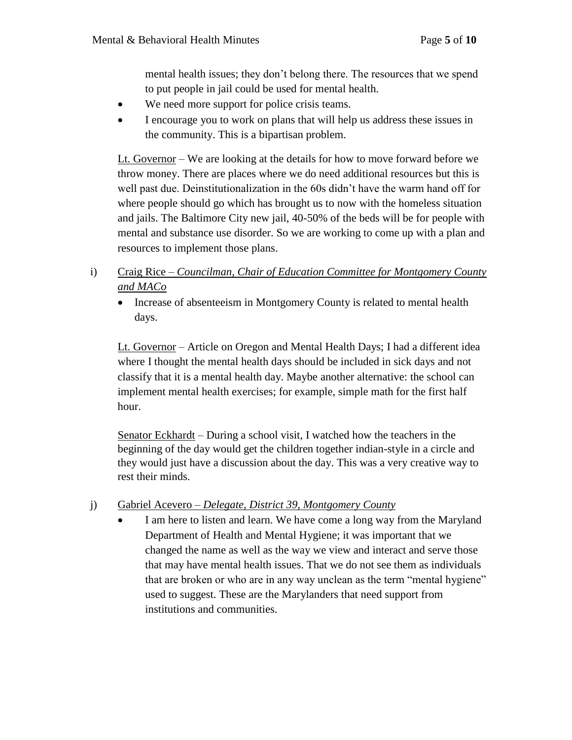mental health issues; they don't belong there. The resources that we spend to put people in jail could be used for mental health.

- We need more support for police crisis teams.
- I encourage you to work on plans that will help us address these issues in the community. This is a bipartisan problem.

Lt. Governor – We are looking at the details for how to move forward before we throw money. There are places where we do need additional resources but this is well past due. Deinstitutionalization in the 60s didn't have the warm hand off for where people should go which has brought us to now with the homeless situation and jails. The Baltimore City new jail, 40-50% of the beds will be for people with mental and substance use disorder. So we are working to come up with a plan and resources to implement those plans.

- i) Craig Rice *Councilman, Chair of Education Committee for Montgomery County and MACo*
	- Increase of absenteeism in Montgomery County is related to mental health days.

Lt. Governor – Article on Oregon and Mental Health Days; I had a different idea where I thought the mental health days should be included in sick days and not classify that it is a mental health day. Maybe another alternative: the school can implement mental health exercises; for example, simple math for the first half hour.

Senator Eckhardt – During a school visit, I watched how the teachers in the beginning of the day would get the children together indian-style in a circle and they would just have a discussion about the day. This was a very creative way to rest their minds.

# j) Gabriel Acevero – *Delegate, District 39, Montgomery County*

 I am here to listen and learn. We have come a long way from the Maryland Department of Health and Mental Hygiene; it was important that we changed the name as well as the way we view and interact and serve those that may have mental health issues. That we do not see them as individuals that are broken or who are in any way unclean as the term "mental hygiene" used to suggest. These are the Marylanders that need support from institutions and communities.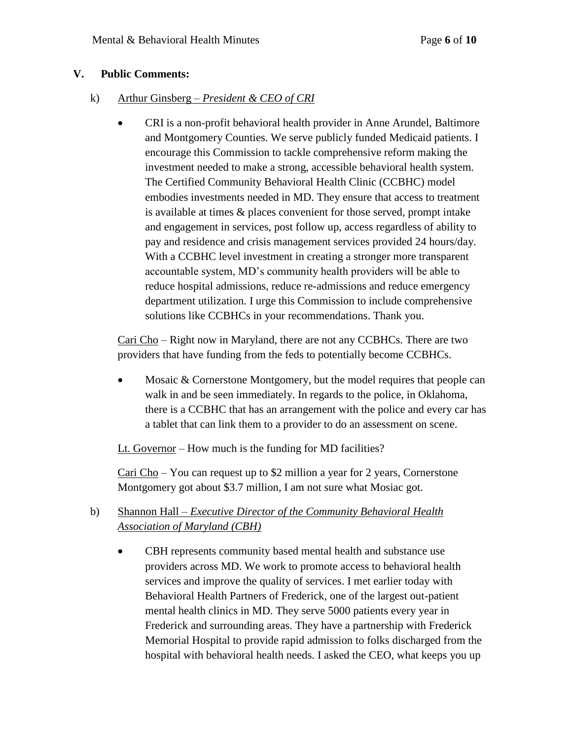#### **V. Public Comments:**

- k) Arthur Ginsberg *President & CEO of CRI* 
	- CRI is a non-profit behavioral health provider in Anne Arundel, Baltimore and Montgomery Counties. We serve publicly funded Medicaid patients. I encourage this Commission to tackle comprehensive reform making the investment needed to make a strong, accessible behavioral health system. The Certified Community Behavioral Health Clinic (CCBHC) model embodies investments needed in MD. They ensure that access to treatment is available at times & places convenient for those served, prompt intake and engagement in services, post follow up, access regardless of ability to pay and residence and crisis management services provided 24 hours/day. With a CCBHC level investment in creating a stronger more transparent accountable system, MD's community health providers will be able to reduce hospital admissions, reduce re-admissions and reduce emergency department utilization. I urge this Commission to include comprehensive solutions like CCBHCs in your recommendations. Thank you.

Cari Cho – Right now in Maryland, there are not any CCBHCs. There are two providers that have funding from the feds to potentially become CCBHCs.

• Mosaic & Cornerstone Montgomery, but the model requires that people can walk in and be seen immediately. In regards to the police, in Oklahoma, there is a CCBHC that has an arrangement with the police and every car has a tablet that can link them to a provider to do an assessment on scene.

Lt. Governor – How much is the funding for MD facilities?

Cari Cho – You can request up to \$2 million a year for 2 years, Cornerstone Montgomery got about \$3.7 million, I am not sure what Mosiac got.

- b) Shannon Hall *Executive Director of the Community Behavioral Health Association of Maryland (CBH)*
	- CBH represents community based mental health and substance use providers across MD. We work to promote access to behavioral health services and improve the quality of services. I met earlier today with Behavioral Health Partners of Frederick, one of the largest out-patient mental health clinics in MD. They serve 5000 patients every year in Frederick and surrounding areas. They have a partnership with Frederick Memorial Hospital to provide rapid admission to folks discharged from the hospital with behavioral health needs. I asked the CEO, what keeps you up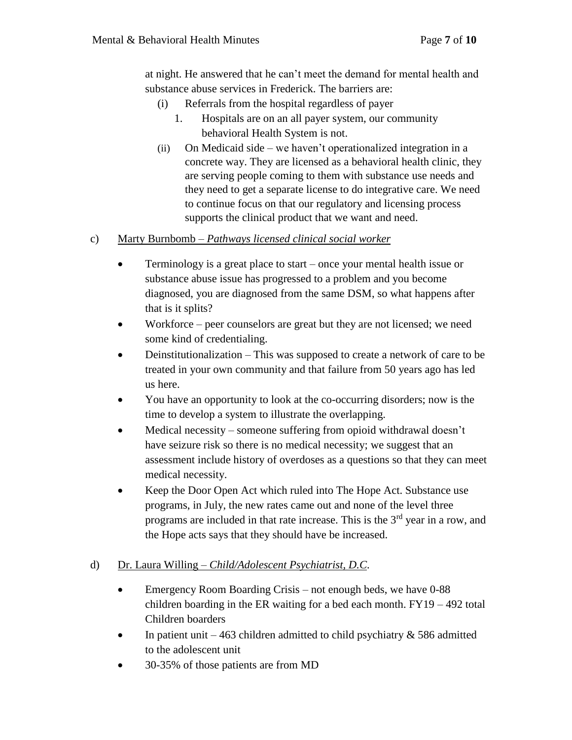at night. He answered that he can't meet the demand for mental health and substance abuse services in Frederick. The barriers are:

- (i) Referrals from the hospital regardless of payer
	- 1. Hospitals are on an all payer system, our community behavioral Health System is not.
- (ii) On Medicaid side we haven't operationalized integration in a concrete way. They are licensed as a behavioral health clinic, they are serving people coming to them with substance use needs and they need to get a separate license to do integrative care. We need to continue focus on that our regulatory and licensing process supports the clinical product that we want and need.

#### c) Marty Burnbomb *– Pathways licensed clinical social worker*

- Terminology is a great place to start once your mental health issue or substance abuse issue has progressed to a problem and you become diagnosed, you are diagnosed from the same DSM, so what happens after that is it splits?
- Workforce peer counselors are great but they are not licensed; we need some kind of credentialing.
- Deinstitutionalization This was supposed to create a network of care to be treated in your own community and that failure from 50 years ago has led us here.
- You have an opportunity to look at the co-occurring disorders; now is the time to develop a system to illustrate the overlapping.
- Medical necessity someone suffering from opioid withdrawal doesn't have seizure risk so there is no medical necessity; we suggest that an assessment include history of overdoses as a questions so that they can meet medical necessity.
- Keep the Door Open Act which ruled into The Hope Act. Substance use programs, in July, the new rates came out and none of the level three programs are included in that rate increase. This is the  $3<sup>rd</sup>$  year in a row, and the Hope acts says that they should have be increased.

#### d) Dr. Laura Willing – *Child/Adolescent Psychiatrist, D.C.*

- Emergency Room Boarding Crisis not enough beds, we have 0-88 children boarding in the ER waiting for a bed each month. FY19 – 492 total Children boarders
- In patient unit  $-463$  children admitted to child psychiatry  $\&$  586 admitted to the adolescent unit
- 30-35% of those patients are from MD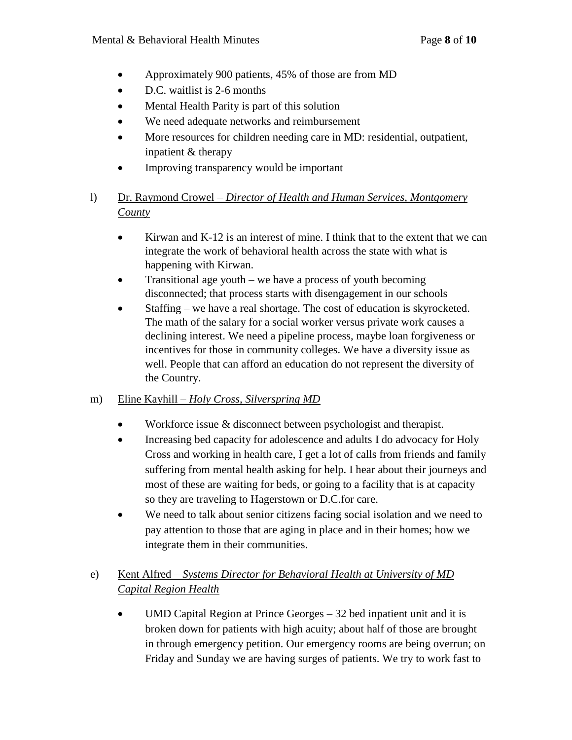- Approximately 900 patients, 45% of those are from MD
- D.C. waitlist is 2-6 months
- Mental Health Parity is part of this solution
- We need adequate networks and reimbursement
- More resources for children needing care in MD: residential, outpatient, inpatient & therapy
- Improving transparency would be important
- l) Dr. Raymond Crowel *– Director of Health and Human Services, Montgomery County*
	- Kirwan and K-12 is an interest of mine. I think that to the extent that we can integrate the work of behavioral health across the state with what is happening with Kirwan.
	- Transitional age youth we have a process of youth becoming disconnected; that process starts with disengagement in our schools
	- Staffing we have a real shortage. The cost of education is skyrocketed. The math of the salary for a social worker versus private work causes a declining interest. We need a pipeline process, maybe loan forgiveness or incentives for those in community colleges. We have a diversity issue as well. People that can afford an education do not represent the diversity of the Country.

## m) Eline Kayhill – *Holy Cross, Silverspring MD*

- Workforce issue & disconnect between psychologist and therapist.
- Increasing bed capacity for adolescence and adults I do advocacy for Holy Cross and working in health care, I get a lot of calls from friends and family suffering from mental health asking for help. I hear about their journeys and most of these are waiting for beds, or going to a facility that is at capacity so they are traveling to Hagerstown or D.C.for care.
- We need to talk about senior citizens facing social isolation and we need to pay attention to those that are aging in place and in their homes; how we integrate them in their communities.

# e) Kent Alfred – *Systems Director for Behavioral Health at University of MD Capital Region Health*

• UMD Capital Region at Prince Georges – 32 bed inpatient unit and it is broken down for patients with high acuity; about half of those are brought in through emergency petition. Our emergency rooms are being overrun; on Friday and Sunday we are having surges of patients. We try to work fast to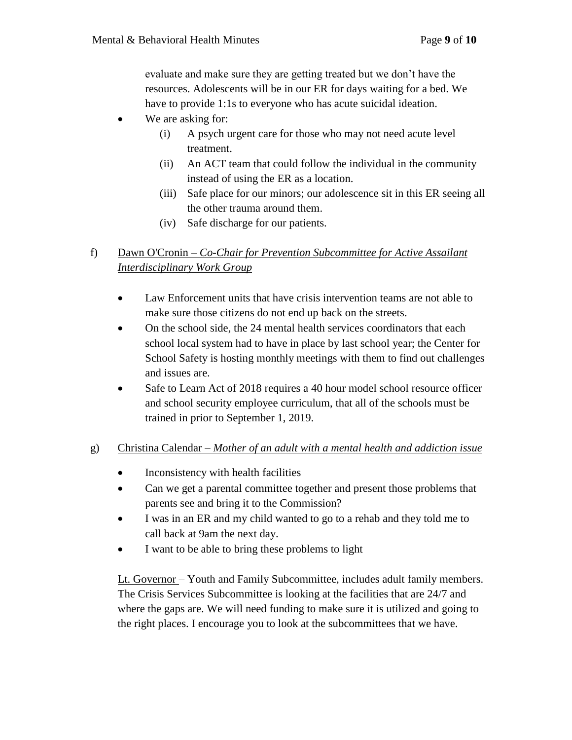evaluate and make sure they are getting treated but we don't have the resources. Adolescents will be in our ER for days waiting for a bed. We have to provide 1:1s to everyone who has acute suicidal ideation.

- We are asking for:
	- (i) A psych urgent care for those who may not need acute level treatment.
	- (ii) An ACT team that could follow the individual in the community instead of using the ER as a location.
	- (iii) Safe place for our minors; our adolescence sit in this ER seeing all the other trauma around them.
	- (iv) Safe discharge for our patients.

## f) Dawn O'Cronin – *Co-Chair for Prevention Subcommittee for Active Assailant Interdisciplinary Work Group*

- Law Enforcement units that have crisis intervention teams are not able to make sure those citizens do not end up back on the streets.
- On the school side, the 24 mental health services coordinators that each school local system had to have in place by last school year; the Center for School Safety is hosting monthly meetings with them to find out challenges and issues are.
- Safe to Learn Act of 2018 requires a 40 hour model school resource officer and school security employee curriculum, that all of the schools must be trained in prior to September 1, 2019.

## g) Christina Calendar – *Mother of an adult with a mental health and addiction issue*

- Inconsistency with health facilities
- Can we get a parental committee together and present those problems that parents see and bring it to the Commission?
- I was in an ER and my child wanted to go to a rehab and they told me to call back at 9am the next day.
- I want to be able to bring these problems to light

Lt. Governor – Youth and Family Subcommittee, includes adult family members. The Crisis Services Subcommittee is looking at the facilities that are 24/7 and where the gaps are. We will need funding to make sure it is utilized and going to the right places. I encourage you to look at the subcommittees that we have.